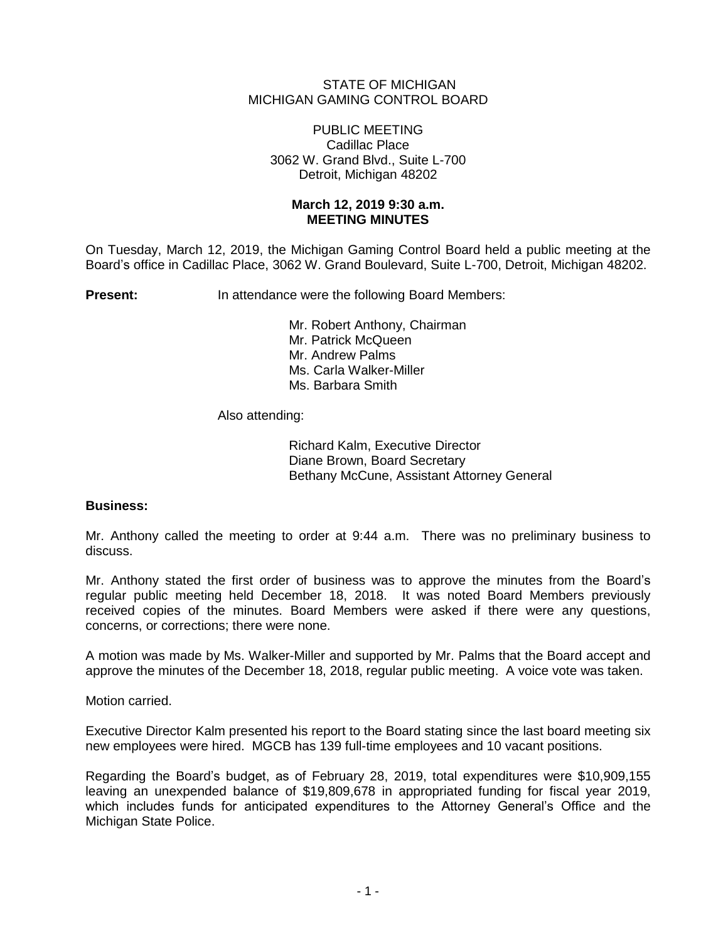## STATE OF MICHIGAN MICHIGAN GAMING CONTROL BOARD

### PUBLIC MEETING Cadillac Place 3062 W. Grand Blvd., Suite L-700 Detroit, Michigan 48202

## **March 12, 2019 9:30 a.m. MEETING MINUTES**

On Tuesday, March 12, 2019, the Michigan Gaming Control Board held a public meeting at the Board's office in Cadillac Place, 3062 W. Grand Boulevard, Suite L-700, Detroit, Michigan 48202.

**Present:** In attendance were the following Board Members:

Mr. Robert Anthony, Chairman Mr. Patrick McQueen Mr. Andrew Palms Ms. Carla Walker-Miller Ms. Barbara Smith

Also attending:

Richard Kalm, Executive Director Diane Brown, Board Secretary Bethany McCune, Assistant Attorney General

# **Business:**

Mr. Anthony called the meeting to order at 9:44 a.m. There was no preliminary business to discuss.

Mr. Anthony stated the first order of business was to approve the minutes from the Board's regular public meeting held December 18, 2018. It was noted Board Members previously received copies of the minutes. Board Members were asked if there were any questions, concerns, or corrections; there were none.

A motion was made by Ms. Walker-Miller and supported by Mr. Palms that the Board accept and approve the minutes of the December 18, 2018, regular public meeting. A voice vote was taken.

Motion carried.

Executive Director Kalm presented his report to the Board stating since the last board meeting six new employees were hired. MGCB has 139 full-time employees and 10 vacant positions.

Regarding the Board's budget, as of February 28, 2019, total expenditures were \$10,909,155 leaving an unexpended balance of \$19,809,678 in appropriated funding for fiscal year 2019, which includes funds for anticipated expenditures to the Attorney General's Office and the Michigan State Police.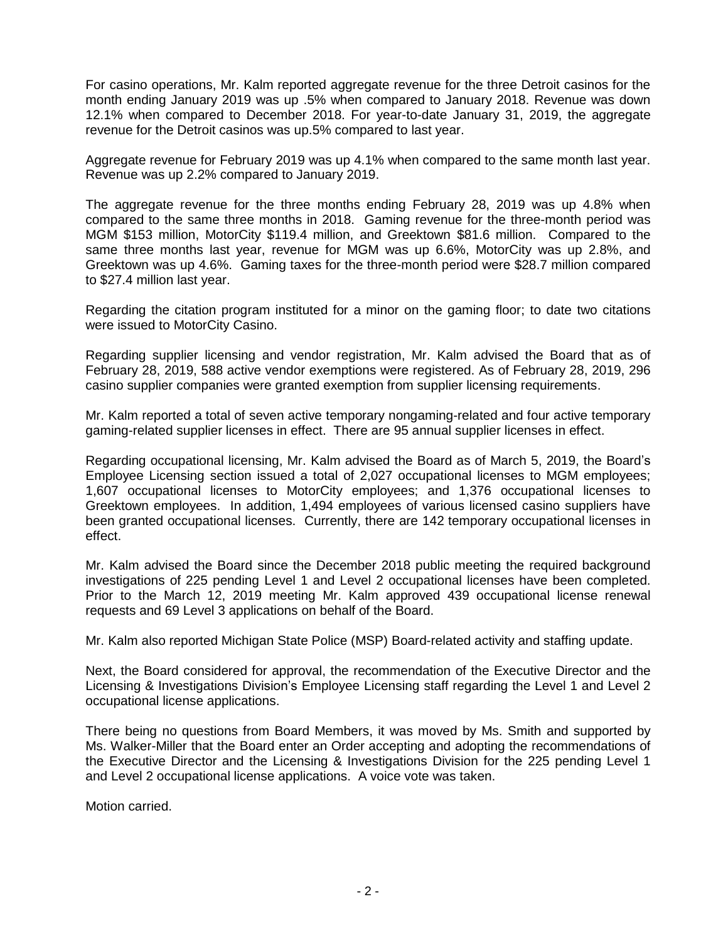For casino operations, Mr. Kalm reported aggregate revenue for the three Detroit casinos for the month ending January 2019 was up .5% when compared to January 2018. Revenue was down 12.1% when compared to December 2018. For year-to-date January 31, 2019, the aggregate revenue for the Detroit casinos was up.5% compared to last year.

Aggregate revenue for February 2019 was up 4.1% when compared to the same month last year. Revenue was up 2.2% compared to January 2019.

The aggregate revenue for the three months ending February 28, 2019 was up 4.8% when compared to the same three months in 2018. Gaming revenue for the three-month period was MGM \$153 million, MotorCity \$119.4 million, and Greektown \$81.6 million. Compared to the same three months last year, revenue for MGM was up 6.6%, MotorCity was up 2.8%, and Greektown was up 4.6%. Gaming taxes for the three-month period were \$28.7 million compared to \$27.4 million last year.

Regarding the citation program instituted for a minor on the gaming floor; to date two citations were issued to MotorCity Casino.

Regarding supplier licensing and vendor registration, Mr. Kalm advised the Board that as of February 28, 2019, 588 active vendor exemptions were registered. As of February 28, 2019, 296 casino supplier companies were granted exemption from supplier licensing requirements.

Mr. Kalm reported a total of seven active temporary nongaming-related and four active temporary gaming-related supplier licenses in effect. There are 95 annual supplier licenses in effect.

Regarding occupational licensing, Mr. Kalm advised the Board as of March 5, 2019, the Board's Employee Licensing section issued a total of 2,027 occupational licenses to MGM employees; 1,607 occupational licenses to MotorCity employees; and 1,376 occupational licenses to Greektown employees. In addition, 1,494 employees of various licensed casino suppliers have been granted occupational licenses. Currently, there are 142 temporary occupational licenses in effect.

Mr. Kalm advised the Board since the December 2018 public meeting the required background investigations of 225 pending Level 1 and Level 2 occupational licenses have been completed. Prior to the March 12, 2019 meeting Mr. Kalm approved 439 occupational license renewal requests and 69 Level 3 applications on behalf of the Board.

Mr. Kalm also reported Michigan State Police (MSP) Board-related activity and staffing update.

Next, the Board considered for approval, the recommendation of the Executive Director and the Licensing & Investigations Division's Employee Licensing staff regarding the Level 1 and Level 2 occupational license applications.

There being no questions from Board Members, it was moved by Ms. Smith and supported by Ms. Walker-Miller that the Board enter an Order accepting and adopting the recommendations of the Executive Director and the Licensing & Investigations Division for the 225 pending Level 1 and Level 2 occupational license applications. A voice vote was taken.

Motion carried.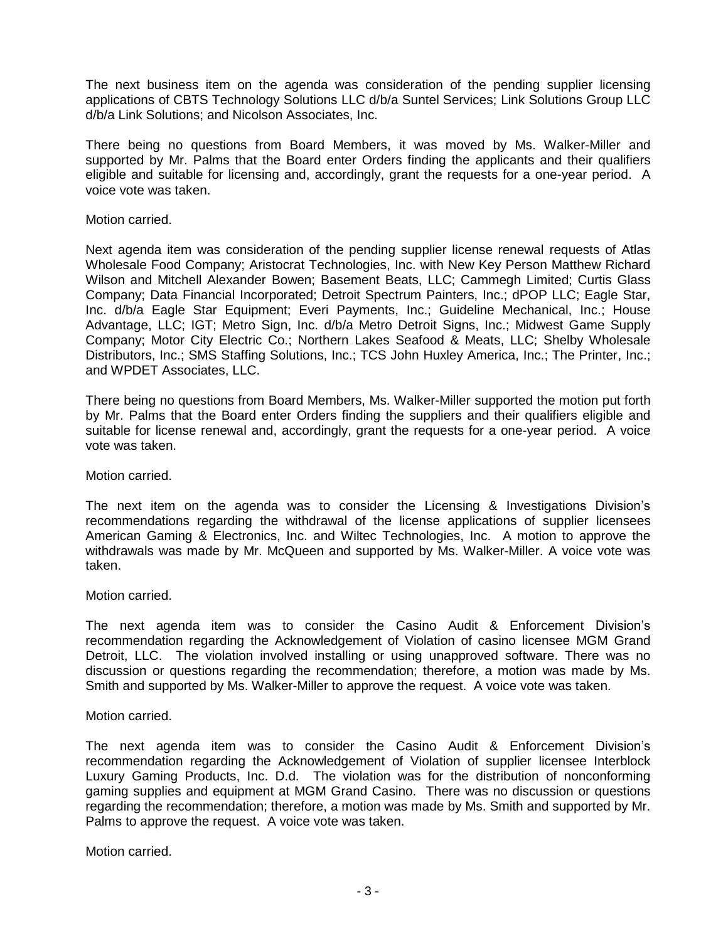The next business item on the agenda was consideration of the pending supplier licensing applications of CBTS Technology Solutions LLC d/b/a Suntel Services; Link Solutions Group LLC d/b/a Link Solutions; and Nicolson Associates, Inc.

There being no questions from Board Members, it was moved by Ms. Walker-Miller and supported by Mr. Palms that the Board enter Orders finding the applicants and their qualifiers eligible and suitable for licensing and, accordingly, grant the requests for a one-year period. A voice vote was taken.

### Motion carried.

Next agenda item was consideration of the pending supplier license renewal requests of Atlas Wholesale Food Company; Aristocrat Technologies, Inc. with New Key Person Matthew Richard Wilson and Mitchell Alexander Bowen; Basement Beats, LLC; Cammegh Limited; Curtis Glass Company; Data Financial Incorporated; Detroit Spectrum Painters, Inc.; dPOP LLC; Eagle Star, Inc. d/b/a Eagle Star Equipment; Everi Payments, Inc.; Guideline Mechanical, Inc.; House Advantage, LLC; IGT; Metro Sign, Inc. d/b/a Metro Detroit Signs, Inc.; Midwest Game Supply Company; Motor City Electric Co.; Northern Lakes Seafood & Meats, LLC; Shelby Wholesale Distributors, Inc.; SMS Staffing Solutions, Inc.; TCS John Huxley America, Inc.; The Printer, Inc.; and WPDET Associates, LLC.

There being no questions from Board Members, Ms. Walker-Miller supported the motion put forth by Mr. Palms that the Board enter Orders finding the suppliers and their qualifiers eligible and suitable for license renewal and, accordingly, grant the requests for a one-year period. A voice vote was taken.

Motion carried.

The next item on the agenda was to consider the Licensing & Investigations Division's recommendations regarding the withdrawal of the license applications of supplier licensees American Gaming & Electronics, Inc. and Wiltec Technologies, Inc. A motion to approve the withdrawals was made by Mr. McQueen and supported by Ms. Walker-Miller. A voice vote was taken.

Motion carried.

The next agenda item was to consider the Casino Audit & Enforcement Division's recommendation regarding the Acknowledgement of Violation of casino licensee MGM Grand Detroit, LLC. The violation involved installing or using unapproved software. There was no discussion or questions regarding the recommendation; therefore, a motion was made by Ms. Smith and supported by Ms. Walker-Miller to approve the request. A voice vote was taken.

Motion carried.

The next agenda item was to consider the Casino Audit & Enforcement Division's recommendation regarding the Acknowledgement of Violation of supplier licensee Interblock Luxury Gaming Products, Inc. D.d. The violation was for the distribution of nonconforming gaming supplies and equipment at MGM Grand Casino. There was no discussion or questions regarding the recommendation; therefore, a motion was made by Ms. Smith and supported by Mr. Palms to approve the request. A voice vote was taken.

Motion carried.